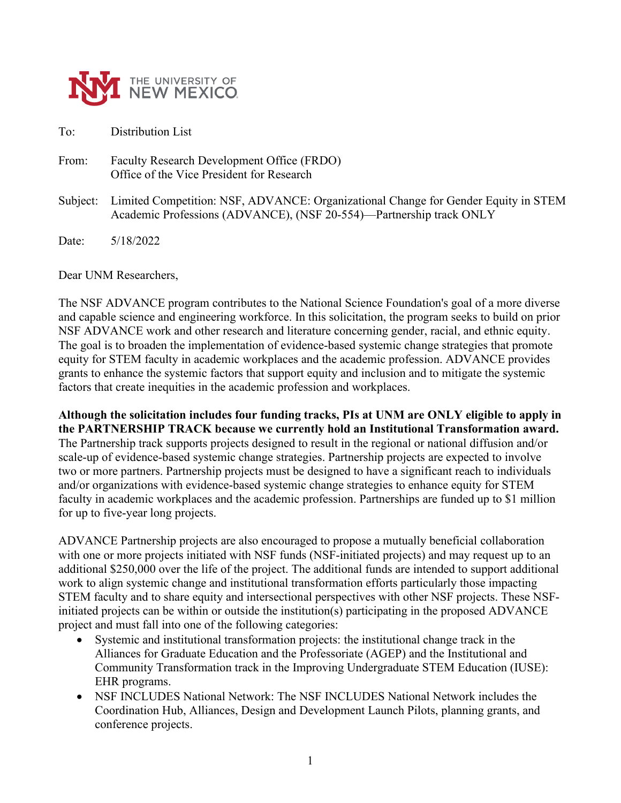

To: Distribution List

From: Faculty Research Development Office (FRDO) Office of the Vice President for Research

Subject: Limited Competition: NSF, ADVANCE: Organizational Change for Gender Equity in STEM Academic Professions (ADVANCE), (NSF 20-554)—Partnership track ONLY

Date: 5/18/2022

Dear UNM Researchers,

The NSF ADVANCE program contributes to the National Science Foundation's goal of a more diverse and capable science and engineering workforce. In this solicitation, the program seeks to build on prior NSF ADVANCE work and other research and literature concerning gender, racial, and ethnic equity. The goal is to broaden the implementation of evidence-based systemic change strategies that promote equity for STEM faculty in academic workplaces and the academic profession. ADVANCE provides grants to enhance the systemic factors that support equity and inclusion and to mitigate the systemic factors that create inequities in the academic profession and workplaces.

**Although the solicitation includes four funding tracks, PIs at UNM are ONLY eligible to apply in the PARTNERSHIP TRACK because we currently hold an Institutional Transformation award.** The Partnership track supports projects designed to result in the regional or national diffusion and/or scale-up of evidence-based systemic change strategies. Partnership projects are expected to involve two or more partners. Partnership projects must be designed to have a significant reach to individuals and/or organizations with evidence-based systemic change strategies to enhance equity for STEM faculty in academic workplaces and the academic profession. Partnerships are funded up to \$1 million for up to five-year long projects.

ADVANCE Partnership projects are also encouraged to propose a mutually beneficial collaboration with one or more projects initiated with NSF funds (NSF-initiated projects) and may request up to an additional \$250,000 over the life of the project. The additional funds are intended to support additional work to align systemic change and institutional transformation efforts particularly those impacting STEM faculty and to share equity and intersectional perspectives with other NSF projects. These NSFinitiated projects can be within or outside the institution(s) participating in the proposed ADVANCE project and must fall into one of the following categories:

- Systemic and institutional transformation projects: the institutional change track in the Alliances for Graduate Education and the Professoriate (AGEP) and the Institutional and Community Transformation track in the Improving Undergraduate STEM Education (IUSE): EHR programs.
- NSF INCLUDES National Network: The NSF INCLUDES National Network includes the Coordination Hub, Alliances, Design and Development Launch Pilots, planning grants, and conference projects.